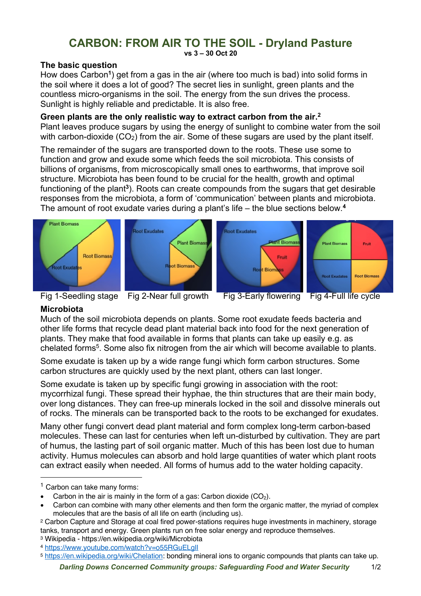# **CARBON: FROM AIR TO THE SOIL - Dryland Pasture**

**vs 3 – 30 Oct 20**

#### **The basic question**

How does Carbon**<sup>1</sup>**) get from a gas in the air (where too much is bad) into solid forms in the soil where it does a lot of good? The secret lies in sunlight, green plants and the countless micro-organisms in the soil. The energy from the sun drives the process. Sunlight is highly reliable and predictable. It is also free.

#### **Green plants are the only realistic way to extract carbon from the air. 2**

Plant leaves produce sugars by using the energy of sunlight to combine water from the soil with carbon-dioxide  $(CO_2)$  from the air. Some of these sugars are used by the plant itself.

The remainder of the sugars are transported down to the roots. These use some to function and grow and exude some which feeds the soil microbiota. This consists of billions of organisms, from microscopically small ones to earthworms, that improve soil structure. Microbiota has been found to be crucial for the health, growth and optimal functioning of the plant<sup>3</sup>). Roots can create compounds from the sugars that get desirable responses from the microbiota, a form of 'communication' between plants and microbiota. The amount of root exudate varies during a plant's life – the blue sections below. **4**



## Fig 1-Seedling stage Fig 2-Near full growth Fig 3-Early flowering Fig 4-Full life cycle

#### **Microbiota**

Much of the soil microbiota depends on plants. Some root exudate feeds bacteria and other life forms that recycle dead plant material back into food for the next generation of plants. They make that food available in forms that plants can take up easily e.g. as chelated forms5. Some also fix nitrogen from the air which will become available to plants.

Some exudate is taken up by a wide range fungi which form carbon structures. Some carbon structures are quickly used by the next plant, others can last longer.

Some exudate is taken up by specific fungi growing in association with the root: mycorrhizal fungi. These spread their hyphae, the thin structures that are their main body, over long distances. They can free-up minerals locked in the soil and dissolve minerals out of rocks. The minerals can be transported back to the roots to be exchanged for exudates.

Many other fungi convert dead plant material and form complex long-term carbon-based molecules. These can last for centuries when left un-disturbed by cultivation. They are part of humus, the lasting part of soil organic matter. Much of this has been lost due to human activity. Humus molecules can absorb and hold large quantities of water which plant roots can extract easily when needed. All forms of humus add to the water holding capacity.

*Darling Downs Concerned Community groups: Safeguarding Food and Water Security* 1/2

<sup>1</sup> Carbon can take many forms:

Carbon in the air is mainly in the form of a gas: Carbon dioxide  $(CO<sub>2</sub>)$ .

<sup>•</sup> Carbon can combine with many other elements and then form the organic matter, the myriad of complex molecules that are the basis of all life on earth (including us).

<sup>2</sup> Carbon Capture and Storage at coal fired power-stations requires huge investments in machinery, storage tanks, transport and energy. Green plants run on free solar energy and reproduce themselves.

<sup>3</sup> Wikipedia - https://en.wikipedia.org/wiki/Microbiota

<sup>4</sup> https://www.youtube.com/watch?v=o55RGuELglI

<sup>5</sup> https://en.wikipedia.org/wiki/Chelation: bonding mineral ions to organic compounds that plants can take up.